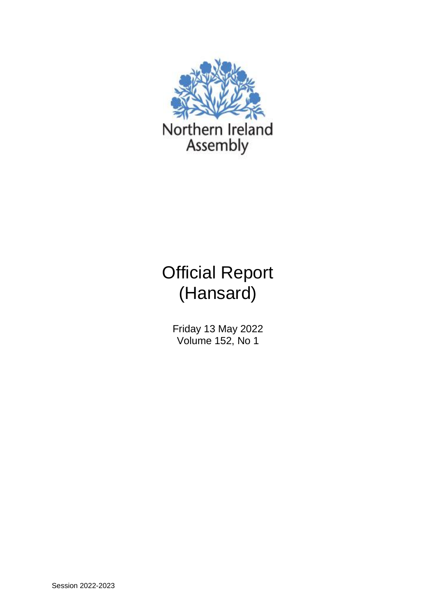

# Official Report (Hansard)

Friday 13 May 2022 Volume 152, No 1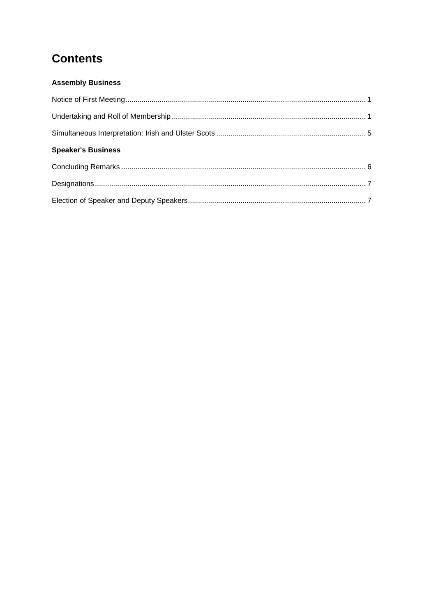# **Contents**

# **Assembly Business**

| <b>Speaker's Business</b> |  |
|---------------------------|--|
|                           |  |
|                           |  |
|                           |  |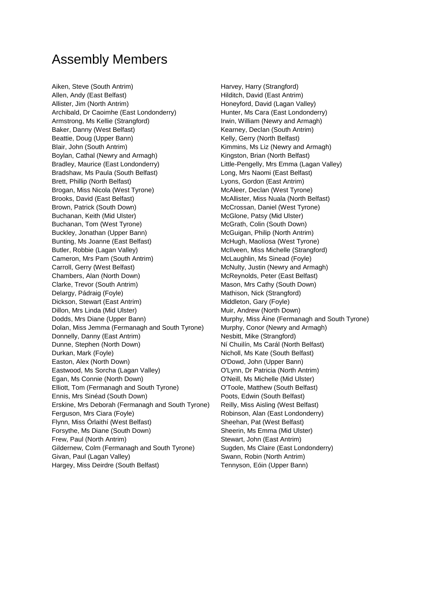# Assembly Members

Aiken, Steve (South Antrim) and the Harvey, Harry (Strangford) Allen, Andy (East Belfast) Allen, Andy (East Antrim) Allister, Jim (North Antrim) and the Muslim Honeyford, David (Lagan Valley) Archibald, Dr Caoimhe (East Londonderry) Hunter, Ms Cara (East Londonderry) Armstrong, Ms Kellie (Strangford) **Irwin, William (Newry and Armagh)** Baker, Danny (West Belfast) The Control of Kearney, Declan (South Antrim) Beattie, Doug (Upper Bann) Kelly, Gerry (North Belfast) Blair, John (South Antrim) The South Structure of Kimmins, Ms Liz (Newry and Armagh) Boylan, Cathal (Newry and Armagh) Kingston, Brian (North Belfast) Bradley, Maurice (East Londonderry) Little-Pengelly, Mrs Emma (Lagan Valley) Bradshaw, Ms Paula (South Belfast) Long, Mrs Naomi (East Belfast) Brett, Phillip (North Belfast) Lyons, Gordon (East Antrim) Brogan, Miss Nicola (West Tyrone) McAleer, Declan (West Tyrone) Brooks, David (East Belfast) McAllister, Miss Nuala (North Belfast) Brown, Patrick (South Down) The McCrossan, Daniel (West Tyrone) Buchanan, Keith (Mid Ulster) **McGlone, Patsy (Mid Ulster)** McGlone, Patsy (Mid Ulster) Buchanan, Tom (West Tyrone) **McGrath, Colin (South Down)** McGrath, Colin (South Down) Buckley, Jonathan (Upper Bann) McGuigan, Philip (North Antrim) Bunting, Ms Joanne (East Belfast) McHugh, Maolíosa (West Tyrone) Butler, Robbie (Lagan Valley) McIlveen, Miss Michelle (Strangford) Cameron, Mrs Pam (South Antrim) McLaughlin, Ms Sinead (Foyle) Carroll, Gerry (West Belfast) **McNulty, Justin (Newry and Armagh)** McNulty, Justin (Newry and Armagh) Chambers, Alan (North Down) McReynolds, Peter (East Belfast) Clarke, Trevor (South Antrim) Mason, Mrs Cathy (South Down) Delargy, Pádraig (Foyle) Mathison, Nick (Strangford) Dickson, Stewart (East Antrim) and Middleton, Gary (Foyle) Dillon, Mrs Linda (Mid Ulster) **Multimers Communist Communist Communist Communist Communist Communist Communist Communist Communist Communist Communist Communist Communist Communist Communist Communist Communist Communist** Dodds, Mrs Diane (Upper Bann) Murphy, Miss Áine (Fermanagh and South Tyrone) Dolan, Miss Jemma (Fermanagh and South Tyrone) Murphy, Conor (Newry and Armagh) Donnelly, Danny (East Antrim) Nesbitt, Mike (Strangford) Dunne, Stephen (North Down) Ní Chuilín, Ms Carál (North Belfast) Durkan, Mark (Foyle) Nicholl, Ms Kate (South Belfast) Easton, Alex (North Down) O'Dowd, John (Upper Bann) Eastwood, Ms Sorcha (Lagan Valley) O'Lynn, Dr Patricia (North Antrim) Egan, Ms Connie (North Down) O'Neill, Ms Michelle (Mid Ulster) Elliott, Tom (Fermanagh and South Tyrone) O'Toole, Matthew (South Belfast) Ennis, Mrs Sinéad (South Down) Poots, Edwin (South Belfast) Erskine, Mrs Deborah (Fermanagh and South Tyrone) Reilly, Miss Aisling (West Belfast) Ferguson, Mrs Ciara (Foyle) **Reading Communist Communist Communist Communist Communist Communist Communist Communist Communist Communist Communist Communist Communist Communist Communist Communist Communist Communist Commu** Flynn, Miss Órlaithí (West Belfast) Sheehan, Pat (West Belfast) Forsythe, Ms Diane (South Down) Sheerin, Ms Emma (Mid Ulster) Frew, Paul (North Antrim) Stewart, John (East Antrim) Gildernew, Colm (Fermanagh and South Tyrone) Sugden, Ms Claire (East Londonderry) Givan, Paul (Lagan Valley) **Swann, Robin (North Antrim)** Swann, Robin (North Antrim) Hargey, Miss Deirdre (South Belfast) Tennyson, Eóin (Upper Bann)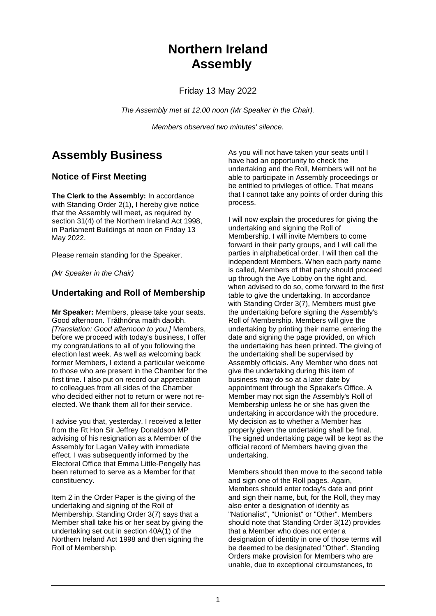# **Northern Ireland Assembly**

Friday 13 May 2022

*The Assembly met at 12.00 noon (Mr Speaker in the Chair).*

*Members observed two minutes' silence.*

# **Assembly Business**

# **Notice of First Meeting**

**The Clerk to the Assembly:** In accordance with Standing Order 2(1), I hereby give notice that the Assembly will meet, as required by section 31(4) of the Northern Ireland Act 1998, in Parliament Buildings at noon on Friday 13 May 2022.

Please remain standing for the Speaker.

*(Mr Speaker in the Chair)*

# **Undertaking and Roll of Membership**

**Mr Speaker:** Members, please take your seats. Good afternoon. Tráthnóna maith daoibh. *[Translation: Good afternoon to you.]* Members, before we proceed with today's business, I offer my congratulations to all of you following the election last week. As well as welcoming back former Members, I extend a particular welcome to those who are present in the Chamber for the first time. I also put on record our appreciation to colleagues from all sides of the Chamber who decided either not to return or were not reelected. We thank them all for their service.

I advise you that, yesterday, I received a letter from the Rt Hon Sir Jeffrey Donaldson MP advising of his resignation as a Member of the Assembly for Lagan Valley with immediate effect. I was subsequently informed by the Electoral Office that Emma Little-Pengelly has been returned to serve as a Member for that constituency.

Item 2 in the Order Paper is the giving of the undertaking and signing of the Roll of Membership. Standing Order 3(7) says that a Member shall take his or her seat by giving the undertaking set out in section 40A(1) of the Northern Ireland Act 1998 and then signing the Roll of Membership.

As you will not have taken your seats until I have had an opportunity to check the undertaking and the Roll, Members will not be able to participate in Assembly proceedings or be entitled to privileges of office. That means that I cannot take any points of order during this process.

I will now explain the procedures for giving the undertaking and signing the Roll of Membership. I will invite Members to come forward in their party groups, and I will call the parties in alphabetical order. I will then call the independent Members. When each party name is called, Members of that party should proceed up through the Aye Lobby on the right and, when advised to do so, come forward to the first table to give the undertaking. In accordance with Standing Order 3(7), Members must give the undertaking before signing the Assembly's Roll of Membership. Members will give the undertaking by printing their name, entering the date and signing the page provided, on which the undertaking has been printed. The giving of the undertaking shall be supervised by Assembly officials. Any Member who does not give the undertaking during this item of business may do so at a later date by appointment through the Speaker's Office. A Member may not sign the Assembly's Roll of Membership unless he or she has given the undertaking in accordance with the procedure. My decision as to whether a Member has properly given the undertaking shall be final. The signed undertaking page will be kept as the official record of Members having given the undertaking.

Members should then move to the second table and sign one of the Roll pages. Again, Members should enter today's date and print and sign their name, but, for the Roll, they may also enter a designation of identity as "Nationalist", "Unionist" or "Other". Members should note that Standing Order 3(12) provides that a Member who does not enter a designation of identity in one of those terms will be deemed to be designated "Other". Standing Orders make provision for Members who are unable, due to exceptional circumstances, to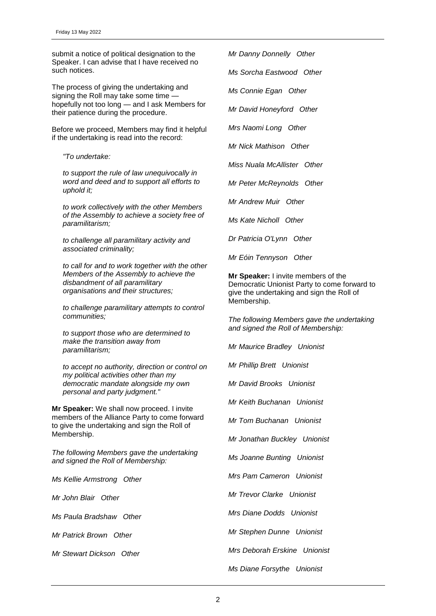submit a notice of political designation to the Speaker. I can advise that I have received no such notices.

The process of giving the undertaking and signing the Roll may take some time hopefully not too long — and I ask Members for their patience during the procedure.

Before we proceed, Members may find it helpful if the undertaking is read into the record:

*"To undertake:*

*to support the rule of law unequivocally in word and deed and to support all efforts to uphold it;*

*to work collectively with the other Members of the Assembly to achieve a society free of paramilitarism;*

*to challenge all paramilitary activity and associated criminality;*

*to call for and to work together with the other Members of the Assembly to achieve the disbandment of all paramilitary organisations and their structures;*

*to challenge paramilitary attempts to control communities;*

*to support those who are determined to make the transition away from paramilitarism;*

*to accept no authority, direction or control on my political activities other than my democratic mandate alongside my own personal and party judgment."*

**Mr Speaker:** We shall now proceed. I invite members of the Alliance Party to come forward to give the undertaking and sign the Roll of Membership.

*The following Members gave the undertaking and signed the Roll of Membership:*

*Ms Kellie Armstrong Other*

*Mr John Blair Other*

*Ms Paula Bradshaw Other*

*Mr Patrick Brown Other*

*Mr Stewart Dickson Other*

*Mr Danny Donnelly Other*

*Ms Sorcha Eastwood Other*

*Ms Connie Egan Other*

*Mr David Honeyford Other*

*Mrs Naomi Long Other*

*Mr Nick Mathison Other*

*Miss Nuala McAllister Other*

*Mr Peter McReynolds Other*

*Mr Andrew Muir Other*

*Ms Kate Nicholl Other*

*Dr Patricia O'Lynn Other*

*Mr Eóin Tennyson Other*

**Mr Speaker:** I invite members of the Democratic Unionist Party to come forward to give the undertaking and sign the Roll of Membership.

*The following Members gave the undertaking and signed the Roll of Membership:*

*Mr Maurice Bradley Unionist*

*Mr Phillip Brett Unionist*

*Mr David Brooks Unionist*

*Mr Keith Buchanan Unionist*

*Mr Tom Buchanan Unionist*

*Mr Jonathan Buckley Unionist*

*Ms Joanne Bunting Unionist*

*Mrs Pam Cameron Unionist*

*Mr Trevor Clarke Unionist*

*Mrs Diane Dodds Unionist*

*Mr Stephen Dunne Unionist*

*Mrs Deborah Erskine Unionist*

*Ms Diane Forsythe Unionist*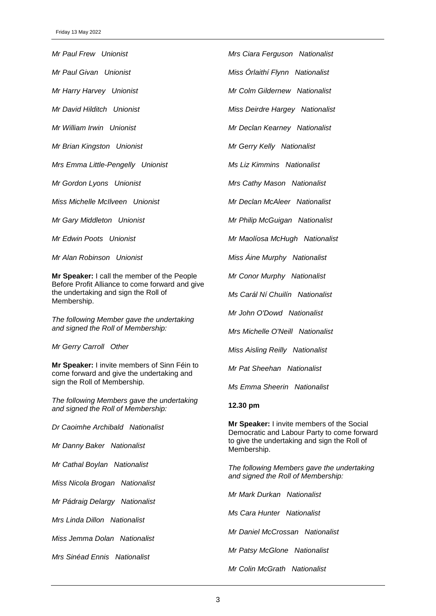*Mr Paul Frew Unionist*

*Mr Paul Givan Unionist*

*Mr Harry Harvey Unionist*

*Mr David Hilditch Unionist*

*Mr William Irwin Unionist*

*Mr Brian Kingston Unionist*

*Mrs Emma Little-Pengelly Unionist*

*Mr Gordon Lyons Unionist*

*Miss Michelle McIlveen Unionist*

*Mr Gary Middleton Unionist*

*Mr Edwin Poots Unionist*

*Mr Alan Robinson Unionist*

**Mr Speaker:** I call the member of the People Before Profit Alliance to come forward and give the undertaking and sign the Roll of Membership.

*The following Member gave the undertaking and signed the Roll of Membership:*

*Mr Gerry Carroll Other*

**Mr Speaker:** I invite members of Sinn Féin to come forward and give the undertaking and sign the Roll of Membership.

*The following Members gave the undertaking and signed the Roll of Membership:*

*Dr Caoimhe Archibald Nationalist*

*Mr Danny Baker Nationalist*

*Mr Cathal Boylan Nationalist*

*Miss Nicola Brogan Nationalist*

*Mr Pádraig Delargy Nationalist*

*Mrs Linda Dillon Nationalist*

*Miss Jemma Dolan Nationalist*

*Mrs Sinéad Ennis Nationalist*

*Mrs Ciara Ferguson Nationalist*

*Miss Órlaithí Flynn Nationalist*

*Mr Colm Gildernew Nationalist*

*Miss Deirdre Hargey Nationalist*

*Mr Declan Kearney Nationalist*

*Mr Gerry Kelly Nationalist*

*Ms Liz Kimmins Nationalist*

*Mrs Cathy Mason Nationalist*

*Mr Declan McAleer Nationalist*

*Mr Philip McGuigan Nationalist*

*Mr Maolíosa McHugh Nationalist*

*Miss Áine Murphy Nationalist*

*Mr Conor Murphy Nationalist*

*Ms Carál Ní Chuilín Nationalist*

*Mr John O'Dowd Nationalist*

*Mrs Michelle O'Neill Nationalist*

*Miss Aisling Reilly Nationalist*

*Mr Pat Sheehan Nationalist*

*Ms Emma Sheerin Nationalist*

### **12.30 pm**

**Mr Speaker:** I invite members of the Social Democratic and Labour Party to come forward to give the undertaking and sign the Roll of Membership.

*The following Members gave the undertaking and signed the Roll of Membership:*

*Mr Mark Durkan Nationalist*

*Ms Cara Hunter Nationalist*

*Mr Daniel McCrossan Nationalist*

*Mr Patsy McGlone Nationalist*

*Mr Colin McGrath Nationalist*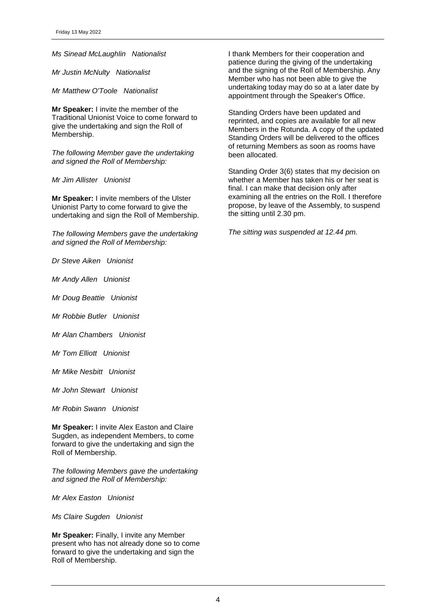*Ms Sinead McLaughlin Nationalist*

*Mr Justin McNulty Nationalist*

*Mr Matthew O'Toole Nationalist*

**Mr Speaker:** I invite the member of the Traditional Unionist Voice to come forward to give the undertaking and sign the Roll of Membership.

*The following Member gave the undertaking and signed the Roll of Membership:*

*Mr Jim Allister Unionist*

**Mr Speaker:** I invite members of the Ulster Unionist Party to come forward to give the undertaking and sign the Roll of Membership.

*The following Members gave the undertaking and signed the Roll of Membership:*

*Dr Steve Aiken Unionist*

*Mr Andy Allen Unionist*

*Mr Doug Beattie Unionist*

*Mr Robbie Butler Unionist*

*Mr Alan Chambers Unionist*

*Mr Tom Elliott Unionist*

*Mr Mike Nesbitt Unionist*

*Mr John Stewart Unionist*

*Mr Robin Swann Unionist*

**Mr Speaker:** I invite Alex Easton and Claire Sugden, as independent Members, to come forward to give the undertaking and sign the Roll of Membership.

*The following Members gave the undertaking and signed the Roll of Membership:*

*Mr Alex Easton Unionist*

*Ms Claire Sugden Unionist*

**Mr Speaker:** Finally, I invite any Member present who has not already done so to come forward to give the undertaking and sign the Roll of Membership.

I thank Members for their cooperation and patience during the giving of the undertaking and the signing of the Roll of Membership. Any Member who has not been able to give the undertaking today may do so at a later date by appointment through the Speaker's Office.

Standing Orders have been updated and reprinted, and copies are available for all new Members in the Rotunda. A copy of the updated Standing Orders will be delivered to the offices of returning Members as soon as rooms have been allocated.

Standing Order 3(6) states that my decision on whether a Member has taken his or her seat is final. I can make that decision only after examining all the entries on the Roll. I therefore propose, by leave of the Assembly, to suspend the sitting until 2.30 pm.

*The sitting was suspended at 12.44 pm.*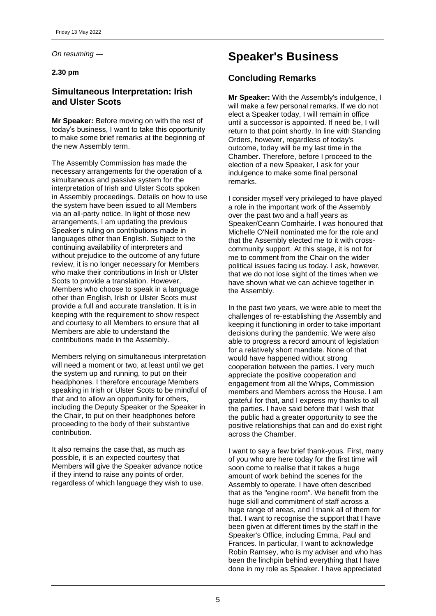*On resuming —*

### **2.30 pm**

# **Simultaneous Interpretation: Irish and Ulster Scots**

**Mr Speaker:** Before moving on with the rest of today's business, I want to take this opportunity to make some brief remarks at the beginning of the new Assembly term.

The Assembly Commission has made the necessary arrangements for the operation of a simultaneous and passive system for the interpretation of Irish and Ulster Scots spoken in Assembly proceedings. Details on how to use the system have been issued to all Members via an all-party notice. In light of those new arrangements, I am updating the previous Speaker's ruling on contributions made in languages other than English. Subject to the continuing availability of interpreters and without prejudice to the outcome of any future review, it is no longer necessary for Members who make their contributions in Irish or Ulster Scots to provide a translation. However, Members who choose to speak in a language other than English, Irish or Ulster Scots must provide a full and accurate translation. It is in keeping with the requirement to show respect and courtesy to all Members to ensure that all Members are able to understand the contributions made in the Assembly.

Members relying on simultaneous interpretation will need a moment or two, at least until we get the system up and running, to put on their headphones. I therefore encourage Members speaking in Irish or Ulster Scots to be mindful of that and to allow an opportunity for others, including the Deputy Speaker or the Speaker in the Chair, to put on their headphones before proceeding to the body of their substantive contribution.

It also remains the case that, as much as possible, it is an expected courtesy that Members will give the Speaker advance notice if they intend to raise any points of order, regardless of which language they wish to use.

# **Speaker's Business**

# **Concluding Remarks**

**Mr Speaker:** With the Assembly's indulgence, I will make a few personal remarks. If we do not elect a Speaker today, I will remain in office until a successor is appointed. If need be, I will return to that point shortly. In line with Standing Orders, however, regardless of today's outcome, today will be my last time in the Chamber. Therefore, before I proceed to the election of a new Speaker, I ask for your indulgence to make some final personal remarks.

I consider myself very privileged to have played a role in the important work of the Assembly over the past two and a half years as Speaker/Ceann Comhairle. I was honoured that Michelle O'Neill nominated me for the role and that the Assembly elected me to it with crosscommunity support. At this stage, it is not for me to comment from the Chair on the wider political issues facing us today. I ask, however, that we do not lose sight of the times when we have shown what we can achieve together in the Assembly.

In the past two years, we were able to meet the challenges of re-establishing the Assembly and keeping it functioning in order to take important decisions during the pandemic. We were also able to progress a record amount of legislation for a relatively short mandate. None of that would have happened without strong cooperation between the parties. I very much appreciate the positive cooperation and engagement from all the Whips, Commission members and Members across the House. I am grateful for that, and I express my thanks to all the parties. I have said before that I wish that the public had a greater opportunity to see the positive relationships that can and do exist right across the Chamber.

I want to say a few brief thank-yous. First, many of you who are here today for the first time will soon come to realise that it takes a huge amount of work behind the scenes for the Assembly to operate. I have often described that as the "engine room". We benefit from the huge skill and commitment of staff across a huge range of areas, and I thank all of them for that. I want to recognise the support that I have been given at different times by the staff in the Speaker's Office, including Emma, Paul and Frances. In particular, I want to acknowledge Robin Ramsey, who is my adviser and who has been the linchpin behind everything that I have done in my role as Speaker. I have appreciated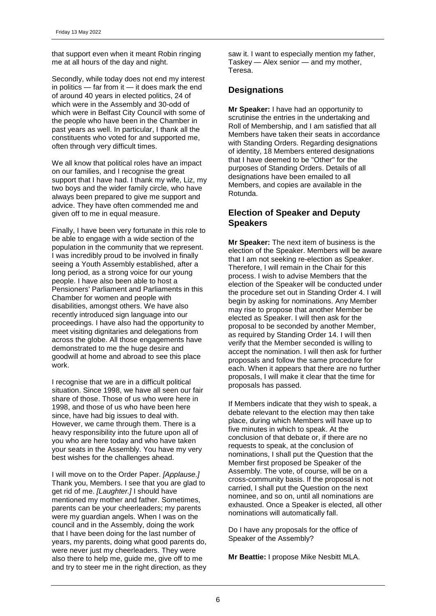that support even when it meant Robin ringing me at all hours of the day and night.

Secondly, while today does not end my interest in politics — far from it — it does mark the end of around 40 years in elected politics, 24 of which were in the Assembly and 30-odd of which were in Belfast City Council with some of the people who have been in the Chamber in past years as well. In particular, I thank all the constituents who voted for and supported me, often through very difficult times.

We all know that political roles have an impact on our families, and I recognise the great support that I have had. I thank my wife, Liz, my two boys and the wider family circle, who have always been prepared to give me support and advice. They have often commended me and given off to me in equal measure.

Finally, I have been very fortunate in this role to be able to engage with a wide section of the population in the community that we represent. I was incredibly proud to be involved in finally seeing a Youth Assembly established, after a long period, as a strong voice for our young people. I have also been able to host a Pensioners' Parliament and Parliaments in this Chamber for women and people with disabilities, amongst others. We have also recently introduced sign language into our proceedings. I have also had the opportunity to meet visiting dignitaries and delegations from across the globe. All those engagements have demonstrated to me the huge desire and goodwill at home and abroad to see this place work.

I recognise that we are in a difficult political situation. Since 1998, we have all seen our fair share of those. Those of us who were here in 1998, and those of us who have been here since, have had big issues to deal with. However, we came through them. There is a heavy responsibility into the future upon all of you who are here today and who have taken your seats in the Assembly. You have my very best wishes for the challenges ahead.

I will move on to the Order Paper. *[Applause.]*  Thank you, Members. I see that you are glad to get rid of me. *[Laughter.]* I should have mentioned my mother and father. Sometimes, parents can be your cheerleaders; my parents were my guardian angels. When I was on the council and in the Assembly, doing the work that I have been doing for the last number of years, my parents, doing what good parents do, were never just my cheerleaders. They were also there to help me, guide me, give off to me and try to steer me in the right direction, as they saw it. I want to especially mention my father, Taskey — Alex senior — and my mother, Teresa.

# **Designations**

**Mr Speaker:** I have had an opportunity to scrutinise the entries in the undertaking and Roll of Membership, and I am satisfied that all Members have taken their seats in accordance with Standing Orders. Regarding designations of identity, 18 Members entered designations that I have deemed to be "Other" for the purposes of Standing Orders. Details of all designations have been emailed to all Members, and copies are available in the Rotunda.

# **Election of Speaker and Deputy Speakers**

**Mr Speaker:** The next item of business is the election of the Speaker. Members will be aware that I am not seeking re-election as Speaker. Therefore, I will remain in the Chair for this process. I wish to advise Members that the election of the Speaker will be conducted under the procedure set out in Standing Order 4. I will begin by asking for nominations. Any Member may rise to propose that another Member be elected as Speaker. I will then ask for the proposal to be seconded by another Member, as required by Standing Order 14. I will then verify that the Member seconded is willing to accept the nomination. I will then ask for further proposals and follow the same procedure for each. When it appears that there are no further proposals, I will make it clear that the time for proposals has passed.

If Members indicate that they wish to speak, a debate relevant to the election may then take place, during which Members will have up to five minutes in which to speak. At the conclusion of that debate or, if there are no requests to speak, at the conclusion of nominations, I shall put the Question that the Member first proposed be Speaker of the Assembly. The vote, of course, will be on a cross-community basis. If the proposal is not carried, I shall put the Question on the next nominee, and so on, until all nominations are exhausted. Once a Speaker is elected, all other nominations will automatically fall.

Do I have any proposals for the office of Speaker of the Assembly?

**Mr Beattie:** I propose Mike Nesbitt MLA.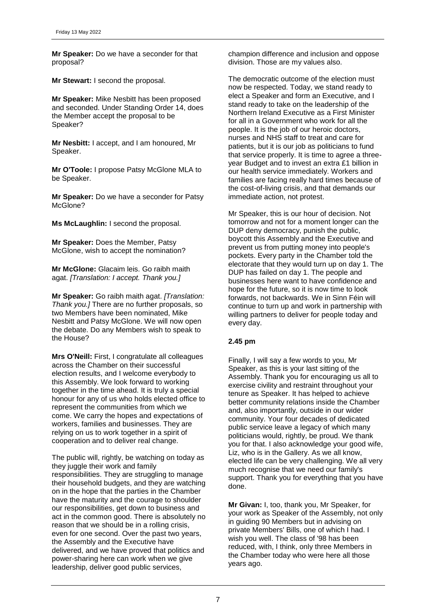**Mr Speaker:** Do we have a seconder for that proposal?

**Mr Stewart:** I second the proposal.

**Mr Speaker:** Mike Nesbitt has been proposed and seconded. Under Standing Order 14, does the Member accept the proposal to be Speaker?

**Mr Nesbitt:** I accept, and I am honoured, Mr Speaker.

**Mr O'Toole:** I propose Patsy McGlone MLA to be Speaker.

**Mr Speaker:** Do we have a seconder for Patsy McGlone?

**Ms McLaughlin:** I second the proposal.

**Mr Speaker:** Does the Member, Patsy McGlone, wish to accept the nomination?

**Mr McGlone:** Glacaim leis. Go raibh maith agat. *[Translation: I accept. Thank you.]* 

**Mr Speaker:** Go raibh maith agat. *[Translation: Thank you.]* There are no further proposals, so two Members have been nominated, Mike Nesbitt and Patsy McGlone. We will now open the debate. Do any Members wish to speak to the House?

**Mrs O'Neill:** First, I congratulate all colleagues across the Chamber on their successful election results, and I welcome everybody to this Assembly. We look forward to working together in the time ahead. It is truly a special honour for any of us who holds elected office to represent the communities from which we come. We carry the hopes and expectations of workers, families and businesses. They are relying on us to work together in a spirit of cooperation and to deliver real change.

The public will, rightly, be watching on today as they juggle their work and family responsibilities. They are struggling to manage their household budgets, and they are watching on in the hope that the parties in the Chamber have the maturity and the courage to shoulder our responsibilities, get down to business and act in the common good. There is absolutely no reason that we should be in a rolling crisis, even for one second. Over the past two years, the Assembly and the Executive have delivered, and we have proved that politics and power-sharing here can work when we give leadership, deliver good public services,

champion difference and inclusion and oppose division. Those are my values also.

The democratic outcome of the election must now be respected. Today, we stand ready to elect a Speaker and form an Executive, and I stand ready to take on the leadership of the Northern Ireland Executive as a First Minister for all in a Government who work for all the people. It is the job of our heroic doctors, nurses and NHS staff to treat and care for patients, but it is our job as politicians to fund that service properly. It is time to agree a threeyear Budget and to invest an extra £1 billion in our health service immediately. Workers and families are facing really hard times because of the cost-of-living crisis, and that demands our immediate action, not protest.

Mr Speaker, this is our hour of decision. Not tomorrow and not for a moment longer can the DUP deny democracy, punish the public, boycott this Assembly and the Executive and prevent us from putting money into people's pockets. Every party in the Chamber told the electorate that they would turn up on day 1. The DUP has failed on day 1. The people and businesses here want to have confidence and hope for the future, so it is now time to look forwards, not backwards. We in Sinn Féin will continue to turn up and work in partnership with willing partners to deliver for people today and every day.

# **2.45 pm**

Finally, I will say a few words to you, Mr Speaker, as this is your last sitting of the Assembly. Thank you for encouraging us all to exercise civility and restraint throughout your tenure as Speaker. It has helped to achieve better community relations inside the Chamber and, also importantly, outside in our wider community. Your four decades of dedicated public service leave a legacy of which many politicians would, rightly, be proud. We thank you for that. I also acknowledge your good wife, Liz, who is in the Gallery. As we all know, elected life can be very challenging. We all very much recognise that we need our family's support. Thank you for everything that you have done.

**Mr Givan:** I, too, thank you, Mr Speaker, for your work as Speaker of the Assembly, not only in guiding 90 Members but in advising on private Members' Bills, one of which I had. I wish you well. The class of '98 has been reduced, with, I think, only three Members in the Chamber today who were here all those years ago.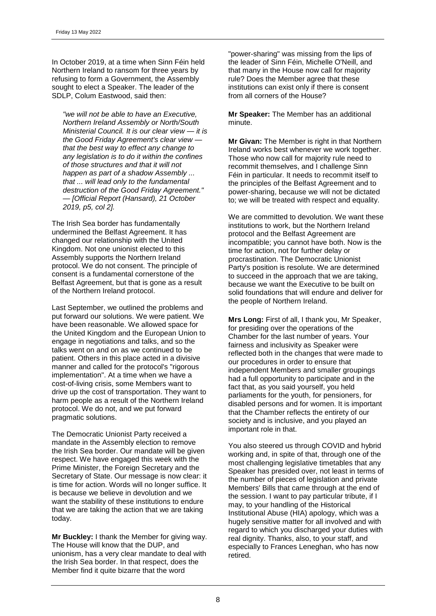In October 2019, at a time when Sinn Féin held Northern Ireland to ransom for three years by refusing to form a Government, the Assembly sought to elect a Speaker. The leader of the SDLP, Colum Eastwood, said then:

*"we will not be able to have an Executive, Northern Ireland Assembly or North/South Ministerial Council. It is our clear view — it is the Good Friday Agreement's clear view that the best way to effect any change to any legislation is to do it within the confines of those structures and that it will not happen as part of a shadow Assembly ... that ... will lead only to the fundamental destruction of the Good Friday Agreement." — [Official Report (Hansard), 21 October 2019, p5, col 2].*

The Irish Sea border has fundamentally undermined the Belfast Agreement. It has changed our relationship with the United Kingdom. Not one unionist elected to this Assembly supports the Northern Ireland protocol. We do not consent. The principle of consent is a fundamental cornerstone of the Belfast Agreement, but that is gone as a result of the Northern Ireland protocol.

Last September, we outlined the problems and put forward our solutions. We were patient. We have been reasonable. We allowed space for the United Kingdom and the European Union to engage in negotiations and talks, and so the talks went on and on as we continued to be patient. Others in this place acted in a divisive manner and called for the protocol's "rigorous implementation". At a time when we have a cost-of-living crisis, some Members want to drive up the cost of transportation. They want to harm people as a result of the Northern Ireland protocol. We do not, and we put forward pragmatic solutions.

The Democratic Unionist Party received a mandate in the Assembly election to remove the Irish Sea border. Our mandate will be given respect. We have engaged this week with the Prime Minister, the Foreign Secretary and the Secretary of State. Our message is now clear: it is time for action. Words will no longer suffice. It is because we believe in devolution and we want the stability of these institutions to endure that we are taking the action that we are taking today.

**Mr Buckley:** I thank the Member for giving way. The House will know that the DUP, and unionism, has a very clear mandate to deal with the Irish Sea border. In that respect, does the Member find it quite bizarre that the word

"power-sharing" was missing from the lips of the leader of Sinn Féin, Michelle O'Neill, and that many in the House now call for majority rule? Does the Member agree that these institutions can exist only if there is consent from all corners of the House?

**Mr Speaker:** The Member has an additional minute.

**Mr Givan:** The Member is right in that Northern Ireland works best whenever we work together. Those who now call for majority rule need to recommit themselves, and I challenge Sinn Féin in particular. It needs to recommit itself to the principles of the Belfast Agreement and to power-sharing, because we will not be dictated to; we will be treated with respect and equality.

We are committed to devolution. We want these institutions to work, but the Northern Ireland protocol and the Belfast Agreement are incompatible; you cannot have both. Now is the time for action, not for further delay or procrastination. The Democratic Unionist Party's position is resolute. We are determined to succeed in the approach that we are taking, because we want the Executive to be built on solid foundations that will endure and deliver for the people of Northern Ireland.

**Mrs Long:** First of all, I thank you, Mr Speaker, for presiding over the operations of the Chamber for the last number of years. Your fairness and inclusivity as Speaker were reflected both in the changes that were made to our procedures in order to ensure that independent Members and smaller groupings had a full opportunity to participate and in the fact that, as you said yourself, you held parliaments for the youth, for pensioners, for disabled persons and for women. It is important that the Chamber reflects the entirety of our society and is inclusive, and you played an important role in that.

You also steered us through COVID and hybrid working and, in spite of that, through one of the most challenging legislative timetables that any Speaker has presided over, not least in terms of the number of pieces of legislation and private Members' Bills that came through at the end of the session. I want to pay particular tribute, if I may, to your handling of the Historical Institutional Abuse (HIA) apology, which was a hugely sensitive matter for all involved and with regard to which you discharged your duties with real dignity. Thanks, also, to your staff, and especially to Frances Leneghan, who has now retired.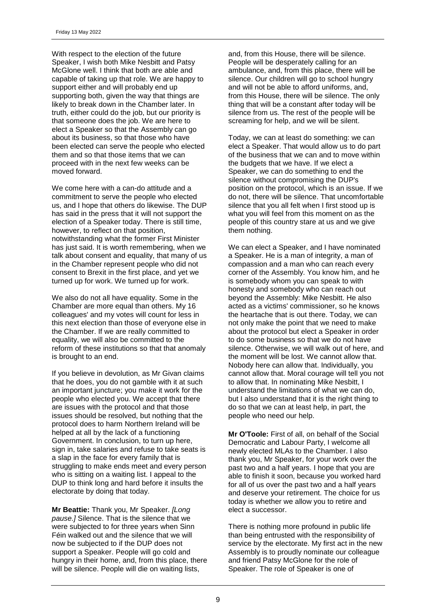With respect to the election of the future Speaker, I wish both Mike Nesbitt and Patsy McGlone well. I think that both are able and capable of taking up that role. We are happy to support either and will probably end up supporting both, given the way that things are likely to break down in the Chamber later. In truth, either could do the job, but our priority is that someone does the job. We are here to elect a Speaker so that the Assembly can go about its business, so that those who have been elected can serve the people who elected them and so that those items that we can proceed with in the next few weeks can be moved forward.

We come here with a can-do attitude and a commitment to serve the people who elected us, and I hope that others do likewise. The DUP has said in the press that it will not support the election of a Speaker today. There is still time, however, to reflect on that position, notwithstanding what the former First Minister has just said. It is worth remembering, when we talk about consent and equality, that many of us in the Chamber represent people who did not consent to Brexit in the first place, and yet we turned up for work. We turned up for work.

We also do not all have equality. Some in the Chamber are more equal than others. My 16 colleagues' and my votes will count for less in this next election than those of everyone else in the Chamber. If we are really committed to equality, we will also be committed to the reform of these institutions so that that anomaly is brought to an end.

If you believe in devolution, as Mr Givan claims that he does, you do not gamble with it at such an important juncture; you make it work for the people who elected you. We accept that there are issues with the protocol and that those issues should be resolved, but nothing that the protocol does to harm Northern Ireland will be helped at all by the lack of a functioning Government. In conclusion, to turn up here, sign in, take salaries and refuse to take seats is a slap in the face for every family that is struggling to make ends meet and every person who is sitting on a waiting list. I appeal to the DUP to think long and hard before it insults the electorate by doing that today.

**Mr Beattie:** Thank you, Mr Speaker. *[Long pause.]* Silence. That is the silence that we were subjected to for three years when Sinn Féin walked out and the silence that we will now be subjected to if the DUP does not support a Speaker. People will go cold and hungry in their home, and, from this place, there will be silence. People will die on waiting lists,

and, from this House, there will be silence. People will be desperately calling for an ambulance, and, from this place, there will be silence. Our children will go to school hungry and will not be able to afford uniforms, and, from this House, there will be silence. The only thing that will be a constant after today will be silence from us. The rest of the people will be screaming for help, and we will be silent.

Today, we can at least do something: we can elect a Speaker. That would allow us to do part of the business that we can and to move within the budgets that we have. If we elect a Speaker, we can do something to end the silence without compromising the DUP's position on the protocol, which is an issue. If we do not, there will be silence. That uncomfortable silence that you all felt when I first stood up is what you will feel from this moment on as the people of this country stare at us and we give them nothing.

We can elect a Speaker, and I have nominated a Speaker. He is a man of integrity, a man of compassion and a man who can reach every corner of the Assembly. You know him, and he is somebody whom you can speak to with honesty and somebody who can reach out beyond the Assembly: Mike Nesbitt. He also acted as a victims' commissioner, so he knows the heartache that is out there. Today, we can not only make the point that we need to make about the protocol but elect a Speaker in order to do some business so that we do not have silence. Otherwise, we will walk out of here, and the moment will be lost. We cannot allow that. Nobody here can allow that. Individually, you cannot allow that. Moral courage will tell you not to allow that. In nominating Mike Nesbitt, I understand the limitations of what we can do, but I also understand that it is the right thing to do so that we can at least help, in part, the people who need our help.

**Mr O'Toole:** First of all, on behalf of the Social Democratic and Labour Party, I welcome all newly elected MLAs to the Chamber. I also thank you, Mr Speaker, for your work over the past two and a half years. I hope that you are able to finish it soon, because you worked hard for all of us over the past two and a half years and deserve your retirement. The choice for us today is whether we allow you to retire and elect a successor.

There is nothing more profound in public life than being entrusted with the responsibility of service by the electorate. My first act in the new Assembly is to proudly nominate our colleague and friend Patsy McGlone for the role of Speaker. The role of Speaker is one of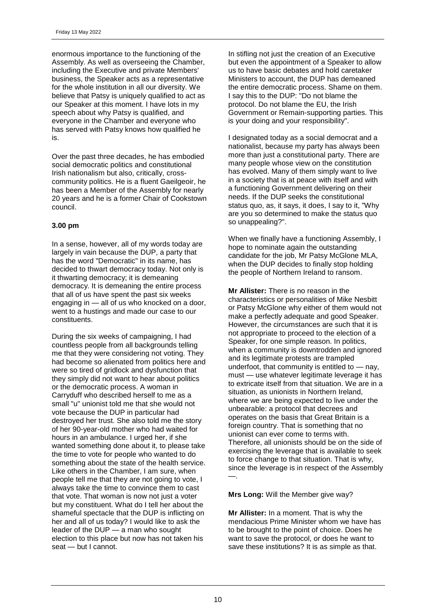enormous importance to the functioning of the Assembly. As well as overseeing the Chamber, including the Executive and private Members' business, the Speaker acts as a representative for the whole institution in all our diversity. We believe that Patsy is uniquely qualified to act as our Speaker at this moment. I have lots in my speech about why Patsy is qualified, and everyone in the Chamber and everyone who has served with Patsy knows how qualified he is.

Over the past three decades, he has embodied social democratic politics and constitutional Irish nationalism but also, critically, crosscommunity politics. He is a fluent Gaeilgeoir, he has been a Member of the Assembly for nearly 20 years and he is a former Chair of Cookstown council.

# **3.00 pm**

In a sense, however, all of my words today are largely in vain because the DUP, a party that has the word "Democratic" in its name, has decided to thwart democracy today. Not only is it thwarting democracy; it is demeaning democracy. It is demeaning the entire process that all of us have spent the past six weeks engaging in — all of us who knocked on a door, went to a hustings and made our case to our constituents.

During the six weeks of campaigning, I had countless people from all backgrounds telling me that they were considering not voting. They had become so alienated from politics here and were so tired of gridlock and dysfunction that they simply did not want to hear about politics or the democratic process. A woman in Carryduff who described herself to me as a small "u" unionist told me that she would not vote because the DUP in particular had destroyed her trust. She also told me the story of her 90-year-old mother who had waited for hours in an ambulance. I urged her, if she wanted something done about it, to please take the time to vote for people who wanted to do something about the state of the health service. Like others in the Chamber, I am sure, when people tell me that they are not going to vote, I always take the time to convince them to cast that vote. That woman is now not just a voter but my constituent. What do I tell her about the shameful spectacle that the DUP is inflicting on her and all of us today? I would like to ask the leader of the DUP — a man who sought election to this place but now has not taken his seat — but I cannot.

In stifling not just the creation of an Executive but even the appointment of a Speaker to allow us to have basic debates and hold caretaker Ministers to account, the DUP has demeaned the entire democratic process. Shame on them. I say this to the DUP: "Do not blame the protocol. Do not blame the EU, the Irish Government or Remain-supporting parties. This is your doing and your responsibility".

I designated today as a social democrat and a nationalist, because my party has always been more than just a constitutional party. There are many people whose view on the constitution has evolved. Many of them simply want to live in a society that is at peace with itself and with a functioning Government delivering on their needs. If the DUP seeks the constitutional status quo, as, it says, it does, I say to it, "Why are you so determined to make the status quo so unappealing?".

When we finally have a functioning Assembly, I hope to nominate again the outstanding candidate for the job, Mr Patsy McGlone MLA, when the DUP decides to finally stop holding the people of Northern Ireland to ransom.

**Mr Allister:** There is no reason in the characteristics or personalities of Mike Nesbitt or Patsy McGlone why either of them would not make a perfectly adequate and good Speaker. However, the circumstances are such that it is not appropriate to proceed to the election of a Speaker, for one simple reason. In politics, when a community is downtrodden and ignored and its legitimate protests are trampled underfoot, that community is entitled to — nay, must — use whatever legitimate leverage it has to extricate itself from that situation. We are in a situation, as unionists in Northern Ireland, where we are being expected to live under the unbearable: a protocol that decrees and operates on the basis that Great Britain is a foreign country. That is something that no unionist can ever come to terms with. Therefore, all unionists should be on the side of exercising the leverage that is available to seek to force change to that situation. That is why, since the leverage is in respect of the Assembly —.

**Mrs Long:** Will the Member give way?

**Mr Allister:** In a moment. That is why the mendacious Prime Minister whom we have has to be brought to the point of choice. Does he want to save the protocol, or does he want to save these institutions? It is as simple as that.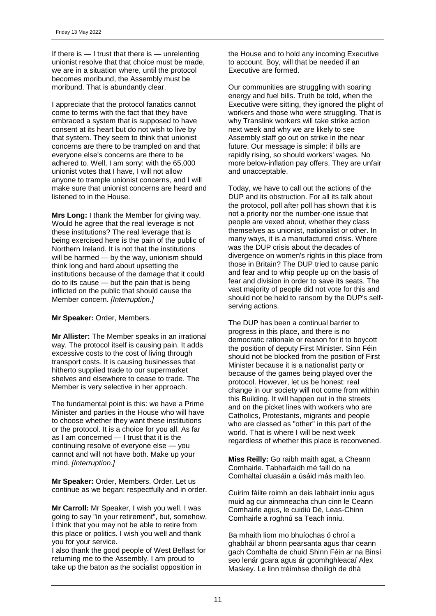If there is — I trust that there is — unrelenting unionist resolve that that choice must be made, we are in a situation where, until the protocol becomes moribund, the Assembly must be moribund. That is abundantly clear.

I appreciate that the protocol fanatics cannot come to terms with the fact that they have embraced a system that is supposed to have consent at its heart but do not wish to live by that system. They seem to think that unionist concerns are there to be trampled on and that everyone else's concerns are there to be adhered to. Well, I am sorry: with the 65,000 unionist votes that I have, I will not allow anyone to trample unionist concerns, and I will make sure that unionist concerns are heard and listened to in the House.

**Mrs Long:** I thank the Member for giving way. Would he agree that the real leverage is not these institutions? The real leverage that is being exercised here is the pain of the public of Northern Ireland. It is not that the institutions will be harmed — by the way, unionism should think long and hard about upsetting the institutions because of the damage that it could do to its cause — but the pain that is being inflicted on the public that should cause the Member concern. *[Interruption.]* 

**Mr Speaker:** Order, Members.

**Mr Allister:** The Member speaks in an irrational way. The protocol itself is causing pain. It adds excessive costs to the cost of living through transport costs. It is causing businesses that hitherto supplied trade to our supermarket shelves and elsewhere to cease to trade. The Member is very selective in her approach.

The fundamental point is this: we have a Prime Minister and parties in the House who will have to choose whether they want these institutions or the protocol. It is a choice for you all. As far as I am concerned — I trust that it is the continuing resolve of everyone else — you cannot and will not have both. Make up your mind. *[Interruption.]* 

**Mr Speaker:** Order, Members. Order. Let us continue as we began: respectfully and in order.

**Mr Carroll:** Mr Speaker, I wish you well. I was going to say "in your retirement", but, somehow, I think that you may not be able to retire from this place or politics. I wish you well and thank you for your service.

I also thank the good people of West Belfast for returning me to the Assembly. I am proud to take up the baton as the socialist opposition in

the House and to hold any incoming Executive to account. Boy, will that be needed if an Executive are formed.

Our communities are struggling with soaring energy and fuel bills. Truth be told, when the Executive were sitting, they ignored the plight of workers and those who were struggling. That is why Translink workers will take strike action next week and why we are likely to see Assembly staff go out on strike in the near future. Our message is simple: if bills are rapidly rising, so should workers' wages. No more below-inflation pay offers. They are unfair and unacceptable.

Today, we have to call out the actions of the DUP and its obstruction. For all its talk about the protocol, poll after poll has shown that it is not a priority nor the number-one issue that people are vexed about, whether they class themselves as unionist, nationalist or other. In many ways, it is a manufactured crisis. Where was the DUP crisis about the decades of divergence on women's rights in this place from those in Britain? The DUP tried to cause panic and fear and to whip people up on the basis of fear and division in order to save its seats. The vast majority of people did not vote for this and should not be held to ransom by the DUP's selfserving actions.

The DUP has been a continual barrier to progress in this place, and there is no democratic rationale or reason for it to boycott the position of deputy First Minister. Sinn Féin should not be blocked from the position of First Minister because it is a nationalist party or because of the games being played over the protocol. However, let us be honest: real change in our society will not come from within this Building. It will happen out in the streets and on the picket lines with workers who are Catholics, Protestants, migrants and people who are classed as "other" in this part of the world. That is where I will be next week regardless of whether this place is reconvened.

**Miss Reilly:** Go raibh maith agat, a Cheann Comhairle. Tabharfaidh mé faill do na Comhaltaí cluasáin a úsáid más maith leo.

Cuirim fáilte roimh an deis labhairt inniu agus muid ag cur ainmneacha chun cinn le Ceann Comhairle agus, le cuidiú Dé, Leas-Chinn Comhairle a roghnú sa Teach inniu.

Ba mhaith liom mo bhuíochas ó chroí a ghabháil ar bhonn pearsanta agus thar ceann gach Comhalta de chuid Shinn Féin ar na Binsí seo lenár gcara agus ár gcomhghleacaí Alex Maskey. Le linn tréimhse dhoiligh de dhá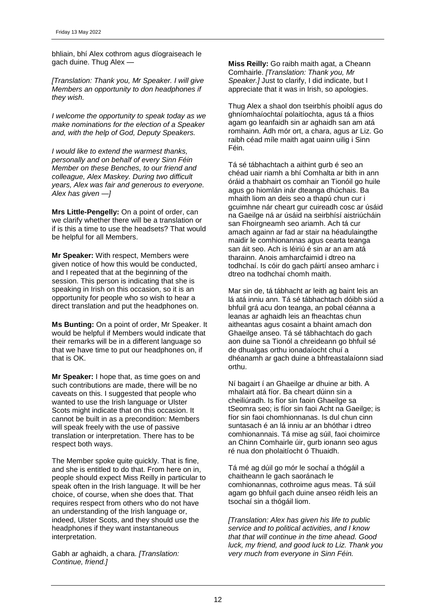bhliain, bhí Alex cothrom agus díograiseach le gach duine. Thug Alex —

*[Translation: Thank you, Mr Speaker. I will give Members an opportunity to don headphones if they wish.*

*I welcome the opportunity to speak today as we make nominations for the election of a Speaker and, with the help of God, Deputy Speakers.*

*I would like to extend the warmest thanks, personally and on behalf of every Sinn Féin Member on these Benches, to our friend and colleague, Alex Maskey. During two difficult years, Alex was fair and generous to everyone. Alex has given —]*

**Mrs Little-Pengelly:** On a point of order, can we clarify whether there will be a translation or if is this a time to use the headsets? That would be helpful for all Members.

**Mr Speaker:** With respect, Members were given notice of how this would be conducted, and I repeated that at the beginning of the session. This person is indicating that she is speaking in Irish on this occasion, so it is an opportunity for people who so wish to hear a direct translation and put the headphones on.

**Ms Bunting:** On a point of order, Mr Speaker. It would be helpful if Members would indicate that their remarks will be in a different language so that we have time to put our headphones on, if that is OK.

**Mr Speaker:** I hope that, as time goes on and such contributions are made, there will be no caveats on this. I suggested that people who wanted to use the Irish language or Ulster Scots might indicate that on this occasion. It cannot be built in as a precondition: Members will speak freely with the use of passive translation or interpretation. There has to be respect both ways.

The Member spoke quite quickly. That is fine, and she is entitled to do that. From here on in, people should expect Miss Reilly in particular to speak often in the Irish language. It will be her choice, of course, when she does that. That requires respect from others who do not have an understanding of the Irish language or, indeed, Ulster Scots, and they should use the headphones if they want instantaneous interpretation.

Gabh ar aghaidh, a chara. *[Translation: Continue, friend.]* 

**Miss Reilly:** Go raibh maith agat, a Cheann Comhairle. *[Translation: Thank you, Mr Speaker.]* Just to clarify, I did indicate, but I appreciate that it was in Irish, so apologies.

Thug Alex a shaol don tseirbhís phoiblí agus do ghníomhaíochtaí polaitíochta, agus tá a fhios agam go leanfaidh sin ar aghaidh san am atá romhainn. Ádh mór ort, a chara, agus ar Liz. Go raibh céad míle maith agat uainn uilig i Sinn Féin.

Tá sé tábhachtach a aithint gurb é seo an chéad uair riamh a bhí Comhalta ar bith in ann óráid a thabhairt os comhair an Tionóil go huile agus go hiomlán inár dteanga dhúchais. Ba mhaith liom an deis seo a thapú chun cur i gcuimhne nár cheart gur cuireadh cosc ar úsáid na Gaeilge ná ar úsáid na seirbhísí aistriúcháin san Fhoirgneamh seo ariamh. Ach tá cur amach againn ar fad ar stair na héadulaingthe maidir le comhionannas agus cearta teanga san áit seo. Ach is léiriú é sin ar an am atá tharainn. Anois amharcfaimid i dtreo na todhchaí. Is cóir do gach páirtí anseo amharc i dtreo na todhchaí chomh maith.

Mar sin de, tá tábhacht ar leith ag baint leis an lá atá inniu ann. Tá sé tábhachtach dóibh siúd a bhfuil grá acu don teanga, an pobal céanna a leanas ar aghaidh leis an fheachtas chun aitheantas agus cosaint a bhaint amach don Ghaeilge anseo. Tá sé tábhachtach do gach aon duine sa Tionól a chreideann go bhfuil sé de dhualgas orthu ionadaíocht chuí a dhéanamh ar gach duine a bhfreastalaíonn siad orthu.

Ní bagairt í an Ghaeilge ar dhuine ar bith. A mhalairt atá fíor. Ba cheart dúinn sin a cheiliúradh. Is fíor sin faoin Ghaeilge sa tSeomra seo; is fíor sin faoi Acht na Gaeilge; is fíor sin faoi chomhionnanas. Is dul chun cinn suntasach é an lá inniu ar an bhóthar i dtreo comhionannais. Tá mise ag súil, faoi choimirce an Chinn Comhairle úir, gurb ionann seo agus ré nua don pholaitíocht ó Thuaidh.

Tá mé ag dúil go mór le sochaí a thógáil a chaitheann le gach saoránach le comhionannas, cothroime agus meas. Tá súil agam go bhfuil gach duine anseo réidh leis an tsochaí sin a thógáil liom.

*[Translation: Alex has given his life to public service and to political activities, and I know that that will continue in the time ahead. Good luck, my friend, and good luck to Liz. Thank you very much from everyone in Sinn Féin.*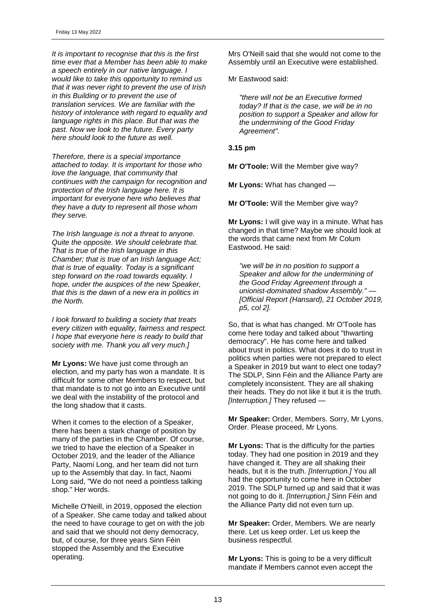*It is important to recognise that this is the first time ever that a Member has been able to make a speech entirely in our native language. I would like to take this opportunity to remind us that it was never right to prevent the use of Irish in this Building or to prevent the use of translation services. We are familiar with the history of intolerance with regard to equality and language rights in this place. But that was the past. Now we look to the future. Every party here should look to the future as well.*

*Therefore, there is a special importance attached to today. It is important for those who love the language, that community that continues with the campaign for recognition and protection of the Irish language here. It is important for everyone here who believes that they have a duty to represent all those whom they serve.*

*The Irish language is not a threat to anyone. Quite the opposite. We should celebrate that. That is true of the Irish language in this Chamber; that is true of an Irish language Act; that is true of equality. Today is a significant step forward on the road towards equality. I hope, under the auspices of the new Speaker, that this is the dawn of a new era in politics in the North.*

*I look forward to building a society that treats every citizen with equality, fairness and respect. I hope that everyone here is ready to build that society with me. Thank you all very much.]*

**Mr Lyons:** We have just come through an election, and my party has won a mandate. It is difficult for some other Members to respect, but that mandate is to not go into an Executive until we deal with the instability of the protocol and the long shadow that it casts.

When it comes to the election of a Speaker, there has been a stark change of position by many of the parties in the Chamber. Of course, we tried to have the election of a Speaker in October 2019, and the leader of the Alliance Party, Naomi Long, and her team did not turn up to the Assembly that day. In fact, Naomi Long said, "We do not need a pointless talking shop." Her words.

Michelle O'Neill, in 2019, opposed the election of a Speaker. She came today and talked about the need to have courage to get on with the job and said that we should not deny democracy, but, of course, for three years Sinn Féin stopped the Assembly and the Executive operating.

Mrs O'Neill said that she would not come to the Assembly until an Executive were established.

Mr Eastwood said:

*"there will not be an Executive formed today? If that is the case, we will be in no position to support a Speaker and allow for the undermining of the Good Friday Agreement".*

### **3.15 pm**

**Mr O'Toole:** Will the Member give way?

**Mr Lyons:** What has changed —

**Mr O'Toole:** Will the Member give way?

**Mr Lyons:** I will give way in a minute. What has changed in that time? Maybe we should look at the words that came next from Mr Colum Eastwood. He said:

*"we will be in no position to support a Speaker and allow for the undermining of the Good Friday Agreement through a unionist-dominated shadow Assembly." — [Official Report (Hansard), 21 October 2019, p5, col 2].*

So, that is what has changed. Mr O'Toole has come here today and talked about "thwarting democracy". He has come here and talked about trust in politics. What does it do to trust in politics when parties were not prepared to elect a Speaker in 2019 but want to elect one today? The SDLP, Sinn Féin and the Alliance Party are completely inconsistent. They are all shaking their heads. They do not like it but it is the truth. *[Interruption.]* They refused —

**Mr Speaker:** Order, Members. Sorry, Mr Lyons. Order. Please proceed, Mr Lyons.

**Mr Lyons:** That is the difficulty for the parties today. They had one position in 2019 and they have changed it. They are all shaking their heads, but it is the truth. *[Interruption.]* You all had the opportunity to come here in October 2019. The SDLP turned up and said that it was not going to do it. *[Interruption.]* Sinn Féin and the Alliance Party did not even turn up.

**Mr Speaker:** Order, Members. We are nearly there. Let us keep order. Let us keep the business respectful.

**Mr Lyons:** This is going to be a very difficult mandate if Members cannot even accept the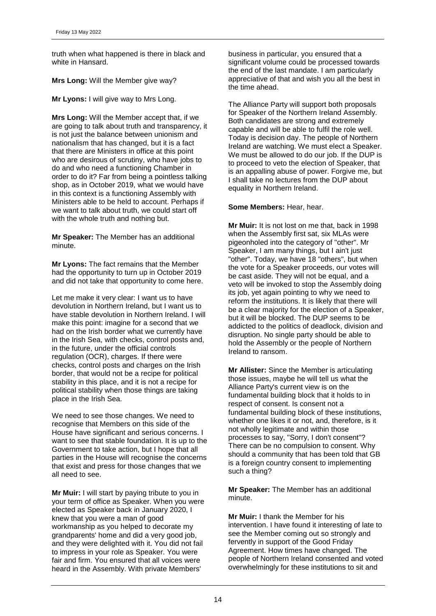truth when what happened is there in black and white in Hansard.

**Mrs Long:** Will the Member give way?

**Mr Lyons:** I will give way to Mrs Long.

**Mrs Long:** Will the Member accept that, if we are going to talk about truth and transparency, it is not just the balance between unionism and nationalism that has changed, but it is a fact that there are Ministers in office at this point who are desirous of scrutiny, who have jobs to do and who need a functioning Chamber in order to do it? Far from being a pointless talking shop, as in October 2019, what we would have in this context is a functioning Assembly with Ministers able to be held to account. Perhaps if we want to talk about truth, we could start off with the whole truth and nothing but.

**Mr Speaker:** The Member has an additional minute.

**Mr Lyons:** The fact remains that the Member had the opportunity to turn up in October 2019 and did not take that opportunity to come here.

Let me make it very clear: I want us to have devolution in Northern Ireland, but I want us to have stable devolution in Northern Ireland. I will make this point: imagine for a second that we had on the Irish border what we currently have in the Irish Sea, with checks, control posts and, in the future, under the official controls regulation (OCR), charges. If there were checks, control posts and charges on the Irish border, that would not be a recipe for political stability in this place, and it is not a recipe for political stability when those things are taking place in the Irish Sea.

We need to see those changes. We need to recognise that Members on this side of the House have significant and serious concerns. I want to see that stable foundation. It is up to the Government to take action, but I hope that all parties in the House will recognise the concerns that exist and press for those changes that we all need to see.

**Mr Muir:** I will start by paying tribute to you in your term of office as Speaker. When you were elected as Speaker back in January 2020, I knew that you were a man of good workmanship as you helped to decorate my grandparents' home and did a very good job, and they were delighted with it. You did not fail to impress in your role as Speaker. You were fair and firm. You ensured that all voices were heard in the Assembly. With private Members'

business in particular, you ensured that a significant volume could be processed towards the end of the last mandate. I am particularly appreciative of that and wish you all the best in the time ahead.

The Alliance Party will support both proposals for Speaker of the Northern Ireland Assembly. Both candidates are strong and extremely capable and will be able to fulfil the role well. Today is decision day. The people of Northern Ireland are watching. We must elect a Speaker. We must be allowed to do our job. If the DUP is to proceed to veto the election of Speaker, that is an appalling abuse of power. Forgive me, but I shall take no lectures from the DUP about equality in Northern Ireland.

# **Some Members:** Hear, hear.

**Mr Muir:** It is not lost on me that, back in 1998 when the Assembly first sat, six MLAs were pigeonholed into the category of "other". Mr Speaker, I am many things, but I ain't just "other". Today, we have 18 "others", but when the vote for a Speaker proceeds, our votes will be cast aside. They will not be equal, and a veto will be invoked to stop the Assembly doing its job, yet again pointing to why we need to reform the institutions. It is likely that there will be a clear majority for the election of a Speaker, but it will be blocked. The DUP seems to be addicted to the politics of deadlock, division and disruption. No single party should be able to hold the Assembly or the people of Northern Ireland to ransom.

**Mr Allister:** Since the Member is articulating those issues, maybe he will tell us what the Alliance Party's current view is on the fundamental building block that it holds to in respect of consent. Is consent not a fundamental building block of these institutions, whether one likes it or not, and, therefore, is it not wholly legitimate and within those processes to say, "Sorry, I don't consent"? There can be no compulsion to consent. Why should a community that has been told that GB is a foreign country consent to implementing such a thing?

**Mr Speaker:** The Member has an additional minute.

**Mr Muir:** I thank the Member for his intervention. I have found it interesting of late to see the Member coming out so strongly and fervently in support of the Good Friday Agreement. How times have changed. The people of Northern Ireland consented and voted overwhelmingly for these institutions to sit and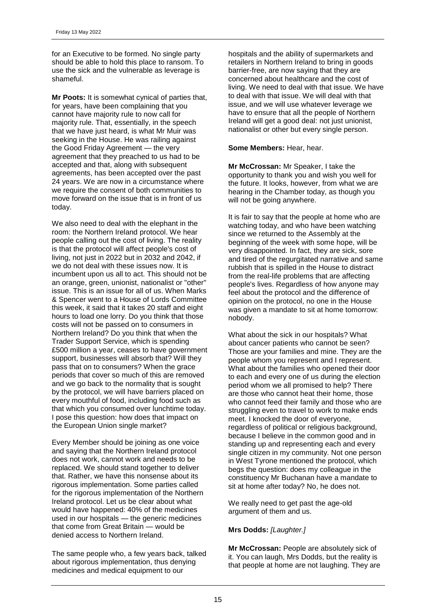for an Executive to be formed. No single party should be able to hold this place to ransom. To use the sick and the vulnerable as leverage is shameful.

**Mr Poots:** It is somewhat cynical of parties that, for years, have been complaining that you cannot have majority rule to now call for majority rule. That, essentially, in the speech that we have just heard, is what Mr Muir was seeking in the House. He was railing against the Good Friday Agreement — the very agreement that they preached to us had to be accepted and that, along with subsequent agreements, has been accepted over the past 24 years. We are now in a circumstance where we require the consent of both communities to move forward on the issue that is in front of us today.

We also need to deal with the elephant in the room: the Northern Ireland protocol. We hear people calling out the cost of living. The reality is that the protocol will affect people's cost of living, not just in 2022 but in 2032 and 2042, if we do not deal with these issues now. It is incumbent upon us all to act. This should not be an orange, green, unionist, nationalist or "other" issue. This is an issue for all of us. When Marks & Spencer went to a House of Lords Committee this week, it said that it takes 20 staff and eight hours to load one lorry. Do you think that those costs will not be passed on to consumers in Northern Ireland? Do you think that when the Trader Support Service, which is spending £500 million a year, ceases to have government support, businesses will absorb that? Will they pass that on to consumers? When the grace periods that cover so much of this are removed and we go back to the normality that is sought by the protocol, we will have barriers placed on every mouthful of food, including food such as that which you consumed over lunchtime today. I pose this question: how does that impact on the European Union single market?

Every Member should be joining as one voice and saying that the Northern Ireland protocol does not work, cannot work and needs to be replaced. We should stand together to deliver that. Rather, we have this nonsense about its rigorous implementation. Some parties called for the rigorous implementation of the Northern Ireland protocol. Let us be clear about what would have happened: 40% of the medicines used in our hospitals — the generic medicines that come from Great Britain — would be denied access to Northern Ireland.

The same people who, a few years back, talked about rigorous implementation, thus denying medicines and medical equipment to our

hospitals and the ability of supermarkets and retailers in Northern Ireland to bring in goods barrier-free, are now saying that they are concerned about healthcare and the cost of living. We need to deal with that issue. We have to deal with that issue. We will deal with that issue, and we will use whatever leverage we have to ensure that all the people of Northern Ireland will get a good deal: not just unionist, nationalist or other but every single person.

### **Some Members:** Hear, hear.

**Mr McCrossan:** Mr Speaker, I take the opportunity to thank you and wish you well for the future. It looks, however, from what we are hearing in the Chamber today, as though you will not be going anywhere.

It is fair to say that the people at home who are watching today, and who have been watching since we returned to the Assembly at the beginning of the week with some hope, will be very disappointed. In fact, they are sick, sore and tired of the regurgitated narrative and same rubbish that is spilled in the House to distract from the real-life problems that are affecting people's lives. Regardless of how anyone may feel about the protocol and the difference of opinion on the protocol, no one in the House was given a mandate to sit at home tomorrow: nobody.

What about the sick in our hospitals? What about cancer patients who cannot be seen? Those are your families and mine. They are the people whom you represent and I represent. What about the families who opened their door to each and every one of us during the election period whom we all promised to help? There are those who cannot heat their home, those who cannot feed their family and those who are struggling even to travel to work to make ends meet. I knocked the door of everyone, regardless of political or religious background, because I believe in the common good and in standing up and representing each and every single citizen in my community. Not one person in West Tyrone mentioned the protocol, which begs the question: does my colleague in the constituency Mr Buchanan have a mandate to sit at home after today? No, he does not.

We really need to get past the age-old argument of them and us.

# **Mrs Dodds:** *[Laughter.]*

**Mr McCrossan:** People are absolutely sick of it. You can laugh, Mrs Dodds, but the reality is that people at home are not laughing. They are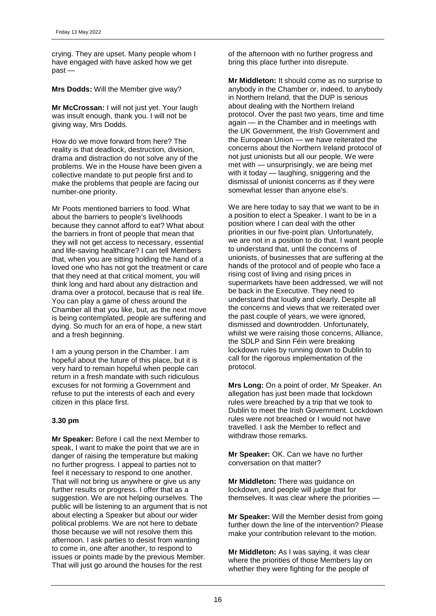crying. They are upset. Many people whom I have engaged with have asked how we get past —

**Mrs Dodds:** Will the Member give way?

**Mr McCrossan:** I will not just yet. Your laugh was insult enough, thank you. I will not be giving way, Mrs Dodds.

How do we move forward from here? The reality is that deadlock, destruction, division, drama and distraction do not solve any of the problems. We in the House have been given a collective mandate to put people first and to make the problems that people are facing our number-one priority.

Mr Poots mentioned barriers to food. What about the barriers to people's livelihoods because they cannot afford to eat? What about the barriers in front of people that mean that they will not get access to necessary, essential and life-saving healthcare? I can tell Members that, when you are sitting holding the hand of a loved one who has not got the treatment or care that they need at that critical moment, you will think long and hard about any distraction and drama over a protocol, because that is real life. You can play a game of chess around the Chamber all that you like, but, as the next move is being contemplated, people are suffering and dying. So much for an era of hope, a new start and a fresh beginning.

I am a young person in the Chamber. I am hopeful about the future of this place, but it is very hard to remain hopeful when people can return in a fresh mandate with such ridiculous excuses for not forming a Government and refuse to put the interests of each and every citizen in this place first.

#### **3.30 pm**

**Mr Speaker:** Before I call the next Member to speak, I want to make the point that we are in danger of raising the temperature but making no further progress. I appeal to parties not to feel it necessary to respond to one another. That will not bring us anywhere or give us any further results or progress. I offer that as a suggestion. We are not helping ourselves. The public will be listening to an argument that is not about electing a Speaker but about our wider political problems. We are not here to debate those because we will not resolve them this afternoon. I ask parties to desist from wanting to come in, one after another, to respond to issues or points made by the previous Member. That will just go around the houses for the rest

of the afternoon with no further progress and bring this place further into disrepute.

**Mr Middleton:** It should come as no surprise to anybody in the Chamber or, indeed, to anybody in Northern Ireland, that the DUP is serious about dealing with the Northern Ireland protocol. Over the past two years, time and time again — in the Chamber and in meetings with the UK Government, the Irish Government and the European Union — we have reiterated the concerns about the Northern Ireland protocol of not just unionists but all our people. We were met with — unsurprisingly, we are being met with it today — laughing, sniggering and the dismissal of unionist concerns as if they were somewhat lesser than anyone else's.

We are here today to say that we want to be in a position to elect a Speaker. I want to be in a position where I can deal with the other priorities in our five-point plan. Unfortunately, we are not in a position to do that. I want people to understand that, until the concerns of unionists, of businesses that are suffering at the hands of the protocol and of people who face a rising cost of living and rising prices in supermarkets have been addressed, we will not be back in the Executive. They need to understand that loudly and clearly. Despite all the concerns and views that we reiterated over the past couple of years, we were ignored, dismissed and downtrodden. Unfortunately, whilst we were raising those concerns, Alliance, the SDLP and Sinn Féin were breaking lockdown rules by running down to Dublin to call for the rigorous implementation of the protocol.

**Mrs Long:** On a point of order, Mr Speaker. An allegation has just been made that lockdown rules were breached by a trip that we took to Dublin to meet the Irish Government. Lockdown rules were not breached or I would not have travelled. I ask the Member to reflect and withdraw those remarks.

**Mr Speaker:** OK. Can we have no further conversation on that matter?

**Mr Middleton:** There was guidance on lockdown, and people will judge that for themselves. It was clear where the priorities —

**Mr Speaker:** Will the Member desist from going further down the line of the intervention? Please make your contribution relevant to the motion.

**Mr Middleton:** As I was saying, it was clear where the priorities of those Members lay on whether they were fighting for the people of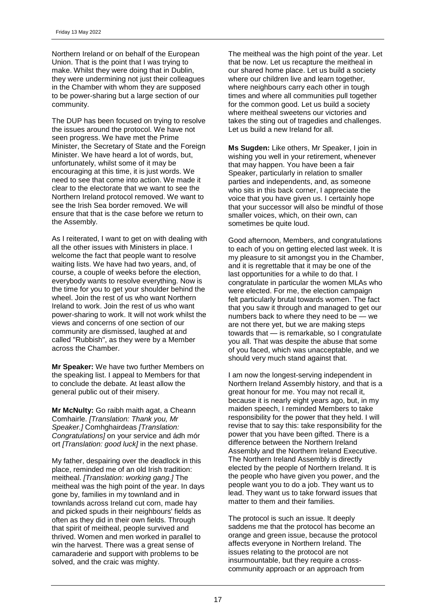Northern Ireland or on behalf of the European Union. That is the point that I was trying to make. Whilst they were doing that in Dublin, they were undermining not just their colleagues in the Chamber with whom they are supposed to be power-sharing but a large section of our community.

The DUP has been focused on trying to resolve the issues around the protocol. We have not seen progress. We have met the Prime Minister, the Secretary of State and the Foreign Minister. We have heard a lot of words, but, unfortunately, whilst some of it may be encouraging at this time, it is just words. We need to see that come into action. We made it clear to the electorate that we want to see the Northern Ireland protocol removed. We want to see the Irish Sea border removed. We will ensure that that is the case before we return to the Assembly.

As I reiterated, I want to get on with dealing with all the other issues with Ministers in place. I welcome the fact that people want to resolve waiting lists. We have had two years, and, of course, a couple of weeks before the election, everybody wants to resolve everything. Now is the time for you to get your shoulder behind the wheel. Join the rest of us who want Northern Ireland to work. Join the rest of us who want power-sharing to work. It will not work whilst the views and concerns of one section of our community are dismissed, laughed at and called "Rubbish", as they were by a Member across the Chamber.

**Mr Speaker:** We have two further Members on the speaking list. I appeal to Members for that to conclude the debate. At least allow the general public out of their misery.

**Mr McNulty:** Go raibh maith agat, a Cheann Comhairle. *[Translation: Thank you, Mr Speaker.]* Comhghairdeas *[Translation: Congratulations]* on your service and ádh mór ort *[Translation: good luck]* in the next phase.

My father, despairing over the deadlock in this place, reminded me of an old Irish tradition: meitheal. *[Translation: working gang.]* The meitheal was the high point of the year. In days gone by, families in my townland and in townlands across Ireland cut corn, made hay and picked spuds in their neighbours' fields as often as they did in their own fields. Through that spirit of meitheal, people survived and thrived. Women and men worked in parallel to win the harvest. There was a great sense of camaraderie and support with problems to be solved, and the craic was mighty.

The meitheal was the high point of the year. Let that be now. Let us recapture the meitheal in our shared home place. Let us build a society where our children live and learn together, where neighbours carry each other in tough times and where all communities pull together for the common good. Let us build a society where meitheal sweetens our victories and takes the sting out of tragedies and challenges. Let us build a new Ireland for all.

**Ms Sugden:** Like others, Mr Speaker, I join in wishing you well in your retirement, whenever that may happen. You have been a fair Speaker, particularly in relation to smaller parties and independents, and, as someone who sits in this back corner, I appreciate the voice that you have given us. I certainly hope that your successor will also be mindful of those smaller voices, which, on their own, can sometimes be quite loud.

Good afternoon, Members, and congratulations to each of you on getting elected last week. It is my pleasure to sit amongst you in the Chamber, and it is regrettable that it may be one of the last opportunities for a while to do that. I congratulate in particular the women MLAs who were elected. For me, the election campaign felt particularly brutal towards women. The fact that you saw it through and managed to get our numbers back to where they need to be — we are not there yet, but we are making steps towards that - is remarkable, so I congratulate you all. That was despite the abuse that some of you faced, which was unacceptable, and we should very much stand against that.

I am now the longest-serving independent in Northern Ireland Assembly history, and that is a great honour for me. You may not recall it, because it is nearly eight years ago, but, in my maiden speech, I reminded Members to take responsibility for the power that they held. I will revise that to say this: take responsibility for the power that you have been gifted. There is a difference between the Northern Ireland Assembly and the Northern Ireland Executive. The Northern Ireland Assembly is directly elected by the people of Northern Ireland. It is the people who have given you power, and the people want you to do a job. They want us to lead. They want us to take forward issues that matter to them and their families.

The protocol is such an issue. It deeply saddens me that the protocol has become an orange and green issue, because the protocol affects everyone in Northern Ireland. The issues relating to the protocol are not insurmountable, but they require a crosscommunity approach or an approach from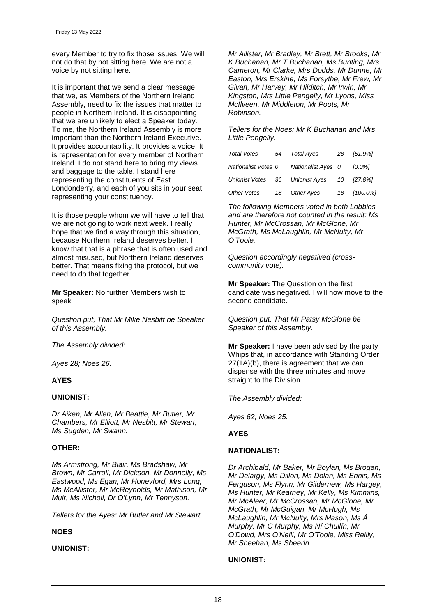every Member to try to fix those issues. We will not do that by not sitting here. We are not a voice by not sitting here.

It is important that we send a clear message that we, as Members of the Northern Ireland Assembly, need to fix the issues that matter to people in Northern Ireland. It is disappointing that we are unlikely to elect a Speaker today. To me, the Northern Ireland Assembly is more important than the Northern Ireland Executive. It provides accountability. It provides a voice. It is representation for every member of Northern Ireland. I do not stand here to bring my views and baggage to the table. I stand here representing the constituents of East Londonderry, and each of you sits in your seat representing your constituency.

It is those people whom we will have to tell that we are not going to work next week. I really hope that we find a way through this situation, because Northern Ireland deserves better. I know that that is a phrase that is often used and almost misused, but Northern Ireland deserves better. That means fixing the protocol, but we need to do that together.

**Mr Speaker:** No further Members wish to speak.

*Question put, That Mr Mike Nesbitt be Speaker of this Assembly.*

*The Assembly divided:*

*Ayes 28; Noes 26.*

# **AYES**

### **UNIONIST:**

*Dr Aiken, Mr Allen, Mr Beattie, Mr Butler, Mr Chambers, Mr Elliott, Mr Nesbitt, Mr Stewart, Ms Sugden, Mr Swann.*

#### **OTHER:**

*Ms Armstrong, Mr Blair, Ms Bradshaw, Mr Brown, Mr Carroll, Mr Dickson, Mr Donnelly, Ms Eastwood, Ms Egan, Mr Honeyford, Mrs Long, Ms McAllister, Mr McReynolds, Mr Mathison, Mr Muir, Ms Nicholl, Dr O'Lynn, Mr Tennyson.*

*Tellers for the Ayes: Mr Butler and Mr Stewart.*

# **NOES**

### **UNIONIST:**

*Mr Allister, Mr Bradley, Mr Brett, Mr Brooks, Mr K Buchanan, Mr T Buchanan, Ms Bunting, Mrs Cameron, Mr Clarke, Mrs Dodds, Mr Dunne, Mr Easton, Mrs Erskine, Ms Forsythe, Mr Frew, Mr Givan, Mr Harvey, Mr Hilditch, Mr Irwin, Mr Kingston, Mrs Little Pengelly, Mr Lyons, Miss McIlveen, Mr Middleton, Mr Poots, Mr Robinson.*

*Tellers for the Noes: Mr K Buchanan and Mrs Little Pengelly.*

| Total Votes         | 54 | Total Ayes                      | 28 | [51.9%]  |
|---------------------|----|---------------------------------|----|----------|
| Nationalist Votes 0 |    | Nationalist Ayes 0              |    | 10.0%1   |
|                     |    | Unionist Votes 36 Unionist Ayes | 10 | [27.8%]  |
| Other Votes         | 18 | Other Ayes                      | 18 | [100.0%] |

*The following Members voted in both Lobbies and are therefore not counted in the result: Ms Hunter, Mr McCrossan, Mr McGlone, Mr McGrath, Ms McLaughlin, Mr McNulty, Mr O'Toole.*

*Question accordingly negatived (crosscommunity vote).*

**Mr Speaker:** The Question on the first candidate was negatived. I will now move to the second candidate.

*Question put, That Mr Patsy McGlone be Speaker of this Assembly.*

**Mr Speaker:** I have been advised by the party Whips that, in accordance with Standing Order 27(1A)(b), there is agreement that we can dispense with the three minutes and move straight to the Division.

*The Assembly divided:*

*Ayes 62; Noes 25.*

#### **AYES**

#### **NATIONALIST:**

*Dr Archibald, Mr Baker, Mr Boylan, Ms Brogan, Mr Delargy, Ms Dillon, Ms Dolan, Ms Ennis, Ms Ferguson, Ms Flynn, Mr Gildernew, Ms Hargey, Ms Hunter, Mr Kearney, Mr Kelly, Ms Kimmins, Mr McAleer, Mr McCrossan, Mr McGlone, Mr McGrath, Mr McGuigan, Mr McHugh, Ms McLaughlin, Mr McNulty, Mrs Mason, Ms Á Murphy, Mr C Murphy, Ms Ní Chuilín, Mr O'Dowd, Mrs O'Neill, Mr O'Toole, Miss Reilly, Mr Sheehan, Ms Sheerin.*

### **UNIONIST:**